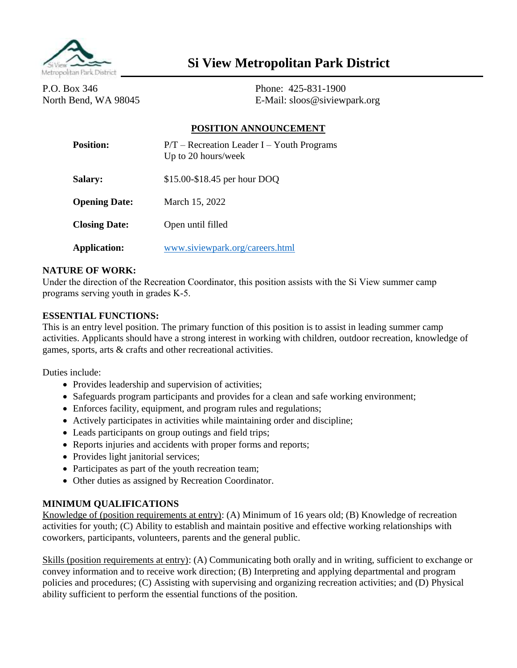

# **Si View Metropolitan Park District**

P.O. Box 346 Phone: 425-831-1900

North Bend, WA 98045 E-Mail: sloos@siviewpark.org

### **POSITION ANNOUNCEMENT**

| <b>Position:</b>     | $P/T$ – Recreation Leader I – Youth Programs<br>Up to 20 hours/week |
|----------------------|---------------------------------------------------------------------|
| <b>Salary:</b>       | \$15.00-\$18.45 per hour DOQ                                        |
| <b>Opening Date:</b> | March 15, 2022                                                      |
| <b>Closing Date:</b> | Open until filled                                                   |
| <b>Application:</b>  | www.siviewpark.org/careers.html                                     |

#### **NATURE OF WORK:**

Under the direction of the Recreation Coordinator, this position assists with the Si View summer camp programs serving youth in grades K-5.

#### **ESSENTIAL FUNCTIONS:**

This is an entry level position. The primary function of this position is to assist in leading summer camp activities. Applicants should have a strong interest in working with children, outdoor recreation, knowledge of games, sports, arts & crafts and other recreational activities.

Duties include:

- Provides leadership and supervision of activities;
- Safeguards program participants and provides for a clean and safe working environment;
- Enforces facility, equipment, and program rules and regulations;
- Actively participates in activities while maintaining order and discipline;
- Leads participants on group outings and field trips;
- Reports injuries and accidents with proper forms and reports;
- Provides light janitorial services;
- Participates as part of the youth recreation team;
- Other duties as assigned by Recreation Coordinator.

#### **MINIMUM QUALIFICATIONS**

Knowledge of (position requirements at entry): (A) Minimum of 16 years old; (B) Knowledge of recreation activities for youth; (C) Ability to establish and maintain positive and effective working relationships with coworkers, participants, volunteers, parents and the general public.

Skills (position requirements at entry): (A) Communicating both orally and in writing, sufficient to exchange or convey information and to receive work direction; (B) Interpreting and applying departmental and program policies and procedures; (C) Assisting with supervising and organizing recreation activities; and (D) Physical ability sufficient to perform the essential functions of the position.